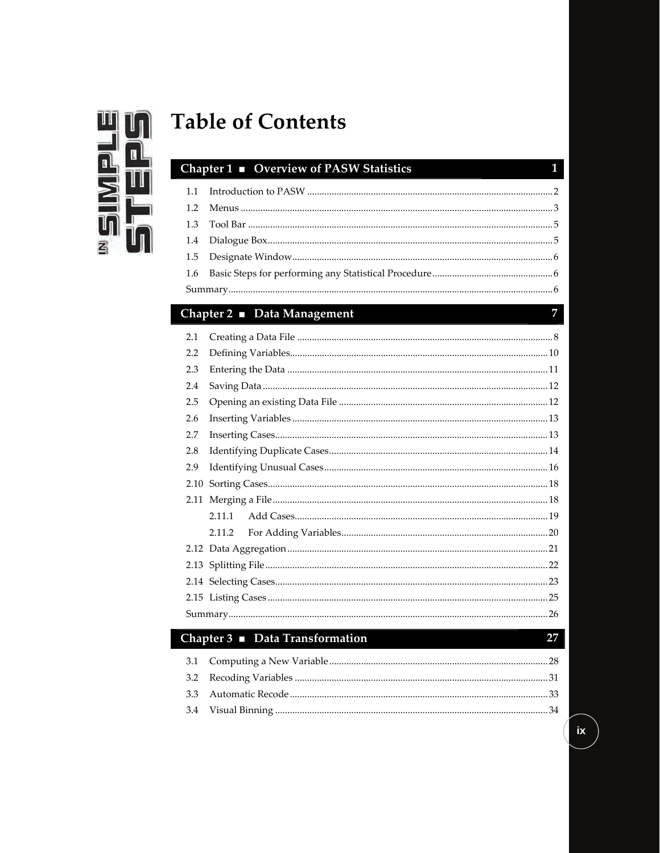

# **Table of Contents**

## Chapter 1 **D** Overview of PASW Statistics

#### Chapter 2 Data Management

| 2.1  |        |  |  |  |  |
|------|--------|--|--|--|--|
| 2.2  |        |  |  |  |  |
| 2.3  |        |  |  |  |  |
| 2.4  |        |  |  |  |  |
| 2.5  |        |  |  |  |  |
| 2.6  |        |  |  |  |  |
| 2.7  |        |  |  |  |  |
| 2.8  |        |  |  |  |  |
| 2.9  |        |  |  |  |  |
| 2.10 |        |  |  |  |  |
|      |        |  |  |  |  |
|      | 2.11.1 |  |  |  |  |
|      | 2.11.2 |  |  |  |  |
|      |        |  |  |  |  |
|      |        |  |  |  |  |
|      |        |  |  |  |  |
|      |        |  |  |  |  |
|      |        |  |  |  |  |

#### Chapter 3 Data Transformation

 $27$ 

 $\mathbf{1}$ 

 $\overline{7}$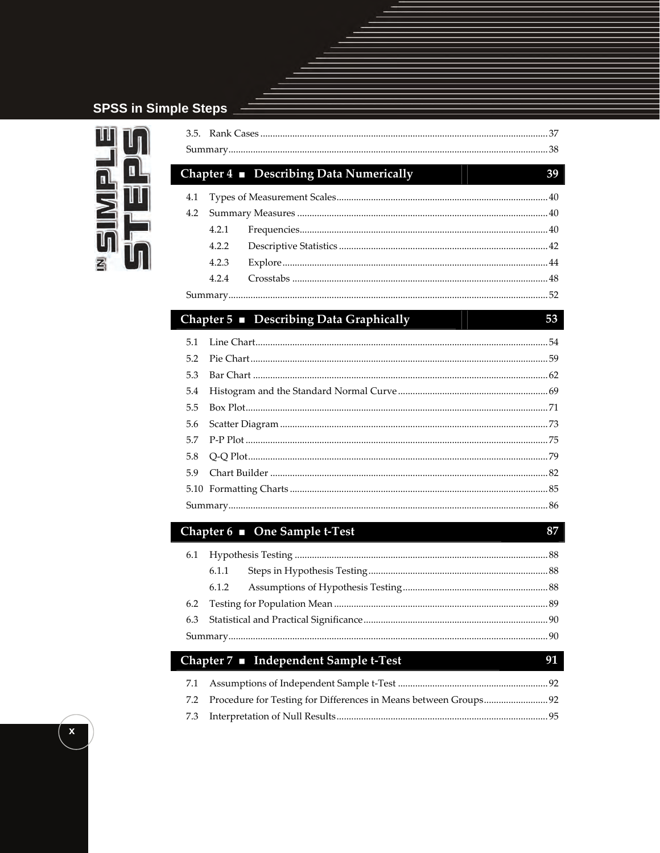### **SPSS in Simple Steps**



|     |                                         | 39 |
|-----|-----------------------------------------|----|
|     | Chapter 4 Describing Data Numerically   |    |
| 4.1 |                                         |    |
| 4.2 |                                         |    |
|     | 4.2.1                                   |    |
|     | 4.2.2                                   |    |
|     | 4.2.3                                   |    |
|     | 4.2.4                                   |    |
|     |                                         |    |
|     | Chapter 5 ■ Describing Data Graphically | 53 |
|     |                                         |    |
| 5.1 |                                         |    |
| 5.2 |                                         |    |
| 5.3 |                                         |    |
| 5.4 |                                         |    |
| 5.5 |                                         |    |
| 5.6 |                                         |    |
| 5.7 |                                         |    |
| 5.8 |                                         |    |
| 5.9 |                                         |    |
|     |                                         |    |
|     |                                         |    |
|     | Chapter 6 ■ One Sample t-Test           | 87 |
|     |                                         |    |
| 6.1 |                                         |    |
|     | 6.1.1                                   |    |
|     | 6.1.2                                   |    |
| 6.2 |                                         |    |
| 6.3 |                                         |    |
|     |                                         |    |
|     | Chapter 7 ■ Independent Sample t-Test   | 91 |
| 7.1 |                                         |    |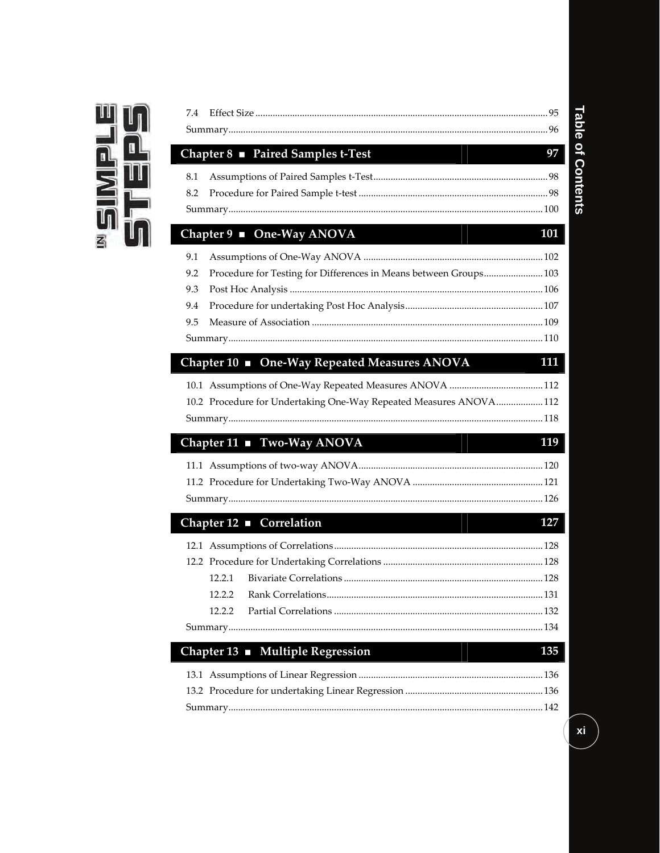

|        | Chapter 8 ■ Paired Samples t-Test                                 | 97  |
|--------|-------------------------------------------------------------------|-----|
| 8.1    |                                                                   |     |
| 8.2    |                                                                   |     |
|        |                                                                   |     |
|        | Chapter 9 ■ One-Way ANOVA                                         | 101 |
| 9.1    |                                                                   |     |
| 9.2    | Procedure for Testing for Differences in Means between Groups 103 |     |
| 9.3    |                                                                   |     |
| 9.4    |                                                                   |     |
| 9.5    |                                                                   |     |
|        |                                                                   |     |
|        | Chapter 10 Cne-Way Repeated Measures ANOVA                        | 111 |
|        |                                                                   |     |
|        | 10.2 Procedure for Undertaking One-Way Repeated Measures ANOVA112 |     |
|        |                                                                   |     |
|        | Chapter 11 <b>■</b> Two-Way ANOVA                                 | 119 |
|        |                                                                   |     |
|        |                                                                   |     |
|        |                                                                   |     |
|        |                                                                   |     |
|        | Chapter 12 Correlation                                            |     |
|        |                                                                   |     |
|        |                                                                   |     |
| 12.2.1 |                                                                   |     |
| 12.2.2 |                                                                   | 127 |
| 12.2.2 |                                                                   |     |
|        |                                                                   |     |
|        | Chapter 13 ■ Multiple Regression                                  | 135 |
|        |                                                                   |     |